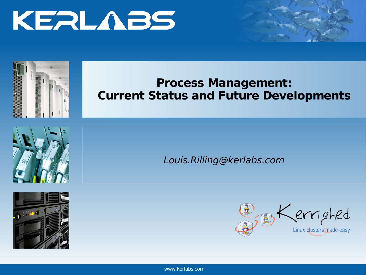



### **Process Management: Current Status and Future Developments**





Louis.Rilling@kerlabs.com



www.kerlabs.com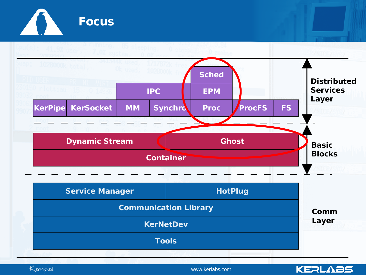



Kerrighed

www.kerlabs.com

**KEALABS**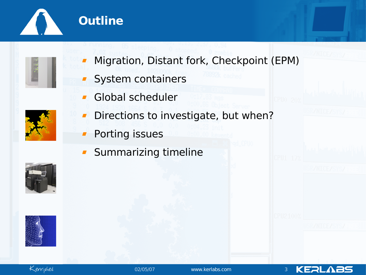





- Migration, Distant fork, Checkpoint (EPM)
- System containers  $\blacksquare$
- Global scheduler  $\blacksquare$
- 
- Directions to investigate, but when?  $\blacksquare$
- Porting issues  $\blacksquare$
- Summarizing timeline $\blacksquare$







KERLABS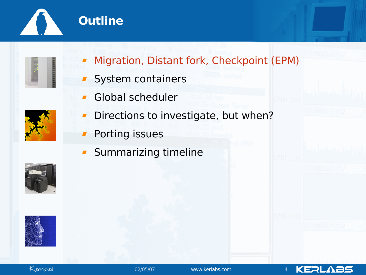



- Migration, Distant fork, Checkpoint (EPM)
- System containers  $\mathbf{r}$
- Global scheduler  $\blacksquare$
- 
- Directions to investigate, but when?  $\blacksquare$
- Porting issues  $\blacksquare$
- Summarizing timeline $\blacksquare$









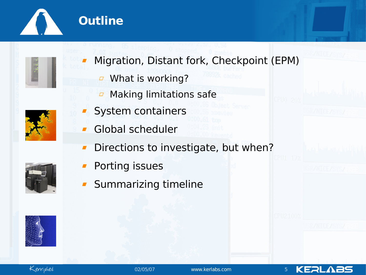

## **Outline**



- Migration, Distant fork, Checkpoint (EPM)
	- **J** What is working?
	- Making limitations safe  $\varpi$
- 
- **System containers**
- Global scheduler  $\blacksquare$
- Directions to investigate, but when?  $\blacksquare$
- Porting issues
- Summarizing timeline





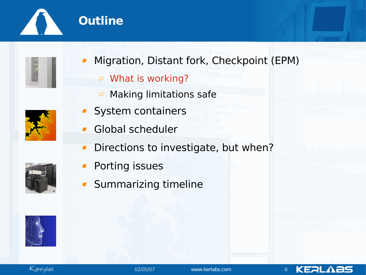

## **Outline**



- Migration, Distant fork, Checkpoint (EPM)
	- What is working?
	- Making limitations safe  $\varpi$
- **System containers**
- Global scheduler  $\blacksquare$
- Directions to investigate, but when?  $\blacksquare$
- Porting issues
- Summarizing timeline





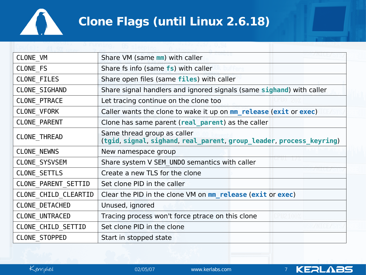

# **Clone Flags (until Linux 2.6.18)**

| CLONE VM             | Share VM (same mm) with caller                                                                     |  |  |  |  |  |  |
|----------------------|----------------------------------------------------------------------------------------------------|--|--|--|--|--|--|
| CLONE FS             | Share fs info (same fs) with caller                                                                |  |  |  |  |  |  |
| CLONE FILES          | Share open files (same files) with caller                                                          |  |  |  |  |  |  |
| CLONE SIGHAND        | Share signal handlers and ignored signals (same sighand) with caller                               |  |  |  |  |  |  |
| <b>CLONE PTRACE</b>  | Let tracing continue on the clone too                                                              |  |  |  |  |  |  |
| CLONE VFORK          | Caller wants the clone to wake it up on mm release (exit or exec)                                  |  |  |  |  |  |  |
| <b>CLONE PARENT</b>  | Clone has same parent (real parent) as the caller                                                  |  |  |  |  |  |  |
| <b>CLONE THREAD</b>  | Same thread group as caller<br>(tgid, signal, sighand, real_parent, group_leader, process_keyring) |  |  |  |  |  |  |
| <b>CLONE NEWNS</b>   | New namespace group                                                                                |  |  |  |  |  |  |
| CLONE_SYSVSEM        | Share system V SEM UNDO semantics with caller                                                      |  |  |  |  |  |  |
| CLONE SETTLS         | Create a new TLS for the clone                                                                     |  |  |  |  |  |  |
| CLONE PARENT_SETTID  | Set clone PID in the caller                                                                        |  |  |  |  |  |  |
| CLONE CHILD CLEARTID | Clear the PID in the clone VM on mm release (exit or exec)                                         |  |  |  |  |  |  |
| CLONE DETACHED       | Unused, ignored                                                                                    |  |  |  |  |  |  |
| CLONE UNTRACED       | Tracing process won't force ptrace on this clone                                                   |  |  |  |  |  |  |
| CLONE CHILD SETTID   | Set clone PID in the clone                                                                         |  |  |  |  |  |  |
| <b>CLONE STOPPED</b> | Start in stopped state                                                                             |  |  |  |  |  |  |
|                      |                                                                                                    |  |  |  |  |  |  |



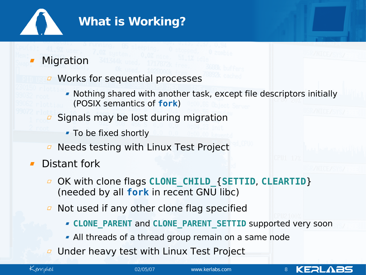

#### Migration

- *D* Works for sequential processes
	- Nothing shared with another task, except file descriptors initially (POSIX semantics of **fork**)
- Signals may be lost during migration  $\varpi$ 
	- To be fixed shortly
- Needs testing with Linux Test Project  $\Box$
- **Distant fork** 
	- OK with clone flags **CLONE\_CHILD\_**{**SETTID**, **CLEARTID**}  $\Box$ (needed by all **fork** in recent GNU libc)
	- Not used if any other clone flag specified  $\varpi$ 
		- **CLONE\_PARENT** and **CLONE\_PARENT\_SETTID** supported very soon
		- All threads of a thread group remain on a same node
	- Under heavy test with Linux Test Project $\Box$



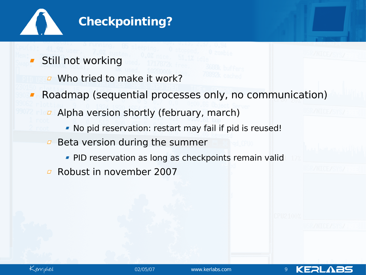

- **Still not working** 
	- **D** Who tried to make it work?
- Roadmap (sequential processes only, no communication)  $\blacksquare$ 
	- **Alpha version shortly (february, march)** 
		- No pid reservation: restart may fail if pid is reused!
	- Beta version during the summer  $\Box$ 
		- **PID reservation as long as checkpoints remain valid**
	- Robust in november 2007



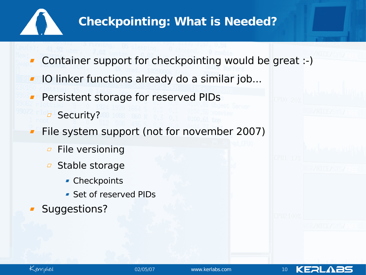

## **Checkpointing: What is Needed?**

- Container support for checkpointing would be great :-)
- IO linker functions already do a similar job...
- Persistent storage for reserved PIDs
	- □ Security?
- File system support (not for november 2007)
	- File versioning  $\varpi$
	- Stable storage  $\varpi$ 
		- **Checkpoints**
		- Set of reserved PIDs
- Suggestions?



KERL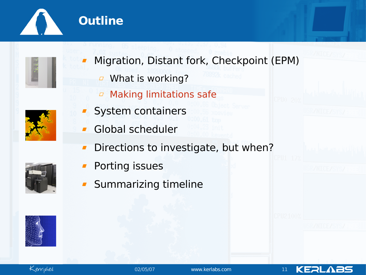

## **Outline**



- Migration, Distant fork, Checkpoint (EPM)
	- **J** What is working?
	- Making limitations safe  $\varpi$
- **System containers**
- Global scheduler  $\blacksquare$
- Directions to investigate, but when?  $\blacksquare$
- Porting issues
- Summarizing timeline





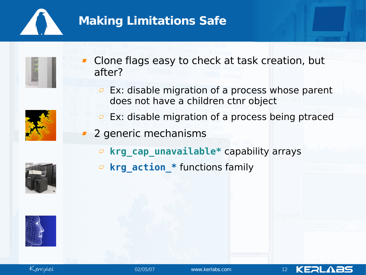

## **Making Limitations Safe**



Clone flags easy to check at task creation, but after?



- Ex: disable migration of a process whose parent  $\varpi$ does not have a children ctnr object
- Ex: disable migration of a process being ptraced  $\varpi$
- **2** generic mechanisms
	- **krg\_cap\_unavailable\*** capability arrays
	- **krg\_action\_\*** functions family





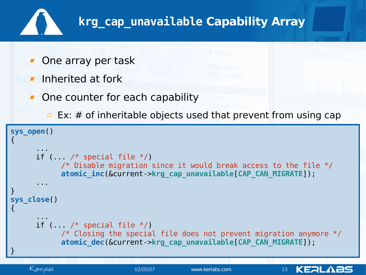

# **krg\_cap\_unavailable Capability Array**

- One array per task
- $\blacksquare$  Inherited at fork
- One counter for each capability
	- $\overline{P}$  Ex: # of inheritable objects used that prevent from using cap

```
sys_open()
{
      ...
      if (\sqrt{*} special file */)
            \gamma^* Disable migration since it would break access to the file \gammaatomic inc(&current->krg cap unavailable[CAP CAN MIGRATE]);
      ...
}
sys_close()
{
      ...
      if (... /* special file */)
            \gamma^* Closing the special file does not prevent migration anymore \gammaatomic dec(&current->krg cap unavailable[CAP CAN MIGRATE]);
}
```
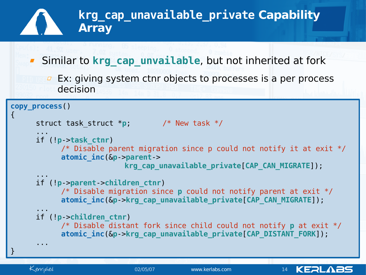```
krg_cap_unavailable_private Capability
              Array
    F Similar to krg cap unvailable, but not inherited at fork
       E Ex: giving system ctnr objects to processes is a per process
          decision
copy_process()
\{struct task_struct *p; /* New task */
     ...
     if (!p->task_ctnr)
           /* Disable parent migration since p could not notify it at exit */
           atomic_inc(&p->parent->
                         krg_cap_unavailable_private[CAP_CAN_MIGRATE]);
     ...
     if (!p->parent->children_ctnr)
           /* Disable migration since p could not notify parent at exit */
           atomic_inc(&p->krg_cap_unavailable_private[CAP_CAN_MIGRATE]);
     ...
     if (!p->children_ctnr)
           /* Disable distant fork since child could not notify p at exit */
           atomic_inc(&p->krg_cap_unavailable_private[CAP_DISTANT_FORK]);
     ...
}
```
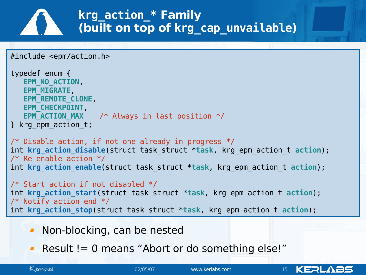## **krg\_action\_\* Family (built on top of krg\_cap\_unvailable)**

```
#include <epm/action.h>
```

```
typedef enum {
   EPM_NO_ACTION,
  EPM_MIGRATE,
   EPM_REMOTE_CLONE,
  EPM_CHECKPOINT,
   EPM ACTION MAX \prime * Always in last position */
} krg_epm_action_t;
```
 $\mathcal{V}^*$  Disable action, if not one already in progress  $\mathcal{V}$ int **krg\_action\_disable**(struct task\_struct \***task**, krg\_epm\_action\_t **action**); /\* Re-enable action \*/ int **krg\_action\_enable**(struct task\_struct \***task**, krg\_epm\_action\_t **action**);

/\* Start action if not disabled \*/ int **krg\_action\_start**(struct task\_struct \***task**, krg\_epm\_action\_t **action**); /\* Notify action end \*/ int **krg\_action\_stop**(struct task\_struct \***task**, krg\_epm\_action\_t **action**);

- **Non-blocking, can be nested**
- **Result != 0 means "Abort or do something else!"**

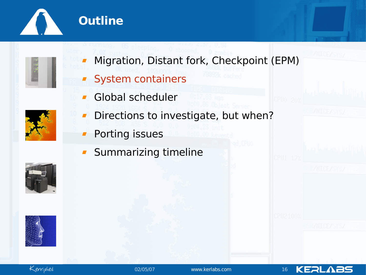





- Migration, Distant fork, Checkpoint (EPM)
- System containers  $\blacksquare$
- Global scheduler  $\blacksquare$
- Directions to investigate, but when?  $\blacksquare$ 
	- Porting issues  $\blacksquare$
	- Summarizing timeline $\blacksquare$









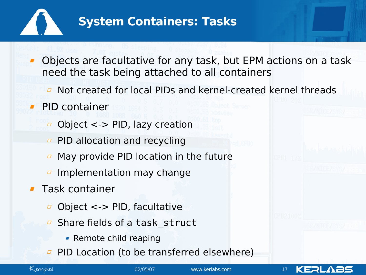

### **System Containers: Tasks**

- Objects are facultative for any task, but EPM actions on a task need the task being attached to all containers
	- Not created for local PIDs and kernel-created kernel threads  $\Box$
- PID container
	- Object <-> PID, lazy creation  $\Box$
	- **PID allocation and recycling**
	- May provide PID location in the future  $\varpi$
	- Implementation may change
- **Task container** 
	- Object <-> PID, facultative
	- Share fields of a task\_struct  $\varpi$ 
		- **-** Remote child reaping
	- PID Location (to be transferred elsewhere) $\varpi$



02/05/07 www.kerlabs.com 17

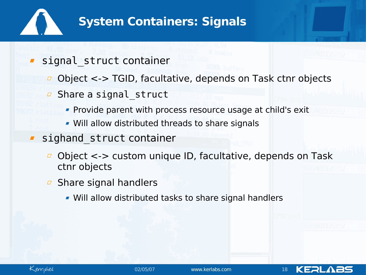

## **System Containers: Signals**

#### signal struct container

- Object <-> TGID, facultative, depends on Task ctnr objects
- *<u></u>* Share a signal struct
	- **Provide parent with process resource usage at child's exit**
	- Will allow distributed threads to share signals

#### sighand struct container

- Object <-> custom unique ID, facultative, depends on Task ctnr objects
- Share signal handlers
	- Will allow distributed tasks to share signal handlers



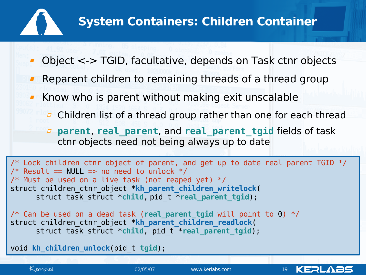

- Object <-> TGID, facultative, depends on Task ctnr objects
- Reparent children to remaining threads of a thread group
- Know who is parent without making exit unscalable
	- $\sigma$  Children list of a thread group rather than one for each thread
	- **parent**, **real\_parent**, and **real\_parent\_tgid** fields of task ctnr objects need not being always up to date

 $\gamma^*$  Lock children ctnr object of parent, and get up to date real parent TGID  $\gamma$ /\* Result == NULL => no need to unlock  $*/$  $\gamma^*$  Must be used on a live task (not reaped yet)  $\gamma$ struct children\_ctnr\_object \***kh\_parent\_children\_writelock**( struct task\_struct \***child**, pid\_t \***real\_parent\_tgid**);

/\* Can be used on a dead task (**real\_parent\_tgid** will point to 0) \*/ struct children\_ctnr\_object \***kh\_parent\_children\_readlock**( struct task struct \*child, pid t \*real\_parent\_tgid);

void **kh\_children\_unlock**(pid\_t **tgid**);

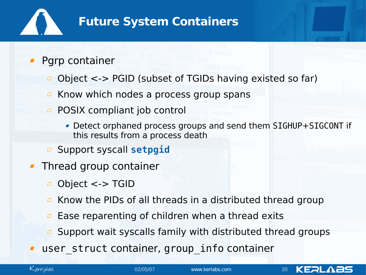

### **Future System Containers**

#### Pgrp container

- Object <-> PGID (subset of TGIDs having existed so far)  $\Box$
- Know which nodes a process group spans  $\varpi$
- POSIX compliant job control  $\varpi$ 
	- Detect orphaned process groups and send them SIGHUP+SIGCONT if this results from a process death
- Support syscall **setpgid**  $\Box$
- **Thread group container** 
	- Object <-> TGID  $\varpi$
	- Know the PIDs of all threads in a distributed thread group  $\Box$
	- Ease reparenting of children when a thread exits  $\varpi$
	- Support wait syscalls family with distributed thread groups
- user struct container, group info container

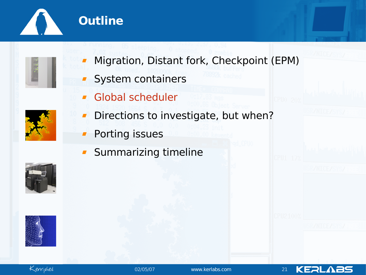



- Migration, Distant fork, Checkpoint (EPM)
- System containers  $\blacksquare$
- **Global scheduler**
- Directions to investigate, but when?  $\blacksquare$ 
	- Porting issues  $\blacksquare$
	- Summarizing timeline $\blacksquare$







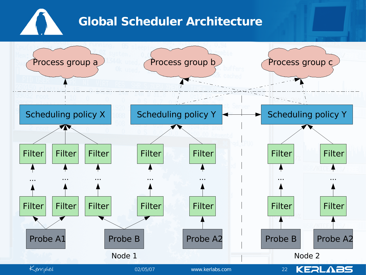# **Global Scheduler Architecture**

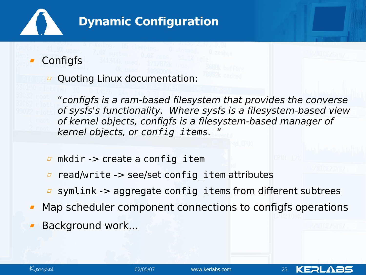

**Configfs** 

*a* Quoting Linux documentation:

"configfs is a ram-based filesystem that provides the converse of sysfs's functionality. Where sysfs is a filesystem-based view of kernel objects, configfs is a filesystem-based manager of kernel objects, or *config\_items*. "

- $\Box$  mkdir -> create a config item
- read/write -> see/set config item attributes  $\varpi$
- symlink -> aggregate config items from different subtrees
- Map scheduler component connections to configfs operations
- Background work...



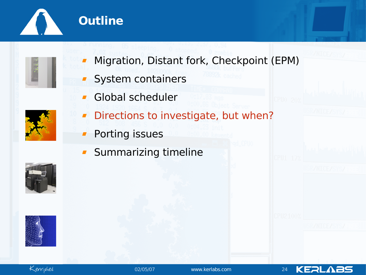



- System containers  $\blacksquare$
- Global scheduler  $\blacksquare$
- 
- Directions to investigate, but when?  $\blacksquare$
- Porting issues  $\blacksquare$
- Summarizing timeline $\blacksquare$









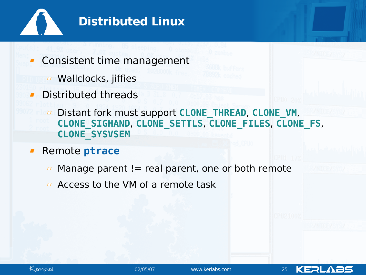

Consistent time management

- *a* Wallclocks, jiffies
- Distributed threads  $\mathbf{r}$ 
	- Distant fork must support **CLONE\_THREAD**, **CLONE\_VM**, **CLONE\_SIGHAND**, **CLONE\_SETTLS**, **CLONE\_FILES**, **CLONE\_FS**, **CLONE\_SYSVSEM**
- Remote **ptrace**
	- Manage parent  $!=$  real parent, one or both remote  $\Box$
	- $\overline{P}$  Access to the VM of a remote task



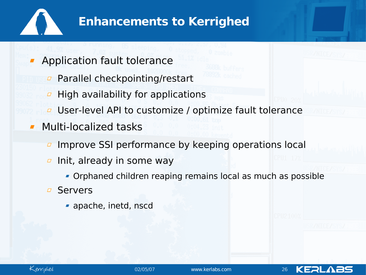

### **Enhancements to Kerrighed**

Application fault tolerance

- **Parallel checkpointing/restart**
- High availability for applications  $\varpi$
- User-level API to customize / optimize fault tolerance  $\varpi$
- **Multi-localized tasks** 
	- Improve SSI performance by keeping operations local  $\varpi$
	- Init, already in some way  $\varpi$ 
		- Orphaned children reaping remains local as much as possible
	- Servers
		- apache, inetd, nscd



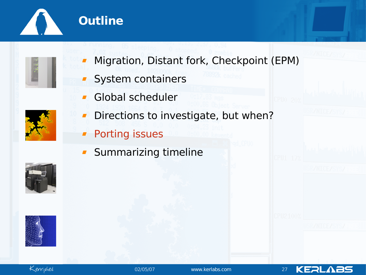





- Migration, Distant fork, Checkpoint (EPM)
- System containers  $\blacksquare$
- Global scheduler  $\blacksquare$
- 
- Directions to investigate, but when?  $\blacksquare$
- **Porting issues**
- Summarizing timeline $\blacksquare$







**KERLABS**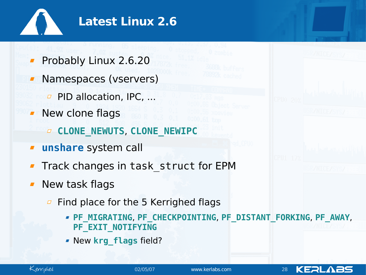

- Probably Linux 2.6.20
- **Namespaces (vservers)** 
	- **PID allocation, IPC, ...**
- New clone flags
	- **CLONE\_NEWUTS**, **CLONE\_NEWIPC**
- **unshare** system call  $\blacksquare$
- Track changes in task\_struct for EPM
- New task flags
	- Find place for the 5 Kerrighed flags  $\varpi$ 
		- **PF\_MIGRATING**, **PF\_CHECKPOINTING**, **PF\_DISTANT\_FORKING**, **PF\_AWAY**, **PF\_EXIT\_NOTIFYING**
		- New **krg\_flags** field?



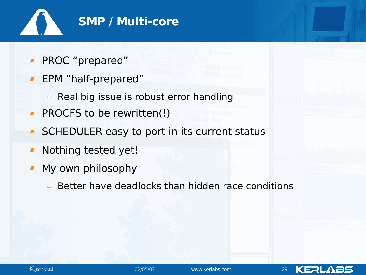

- PROC "prepared"
- **FRM** "half-prepared"
	- Real big issue is robust error handling  $\varpi$
- PROCFS to be rewritten(!)
- SCHEDULER easy to port in its current status  $\blacksquare$
- Nothing tested yet!  $\blacksquare$
- My own philosophy  $\blacksquare$ 
	- Better have deadlocks than hidden race conditions $\varpi$



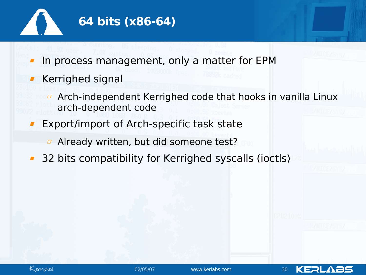

- In process management, only a matter for EPM
- Kerrighed signal
	- Arch-independent Kerrighed code that hooks in vanilla Linux  $\Box$ arch-dependent code
- Export/import of Arch-specific task state
	- Already written, but did someone test?  $\Box$
- 32 bits compatibility for Kerrighed syscalls (ioctls)